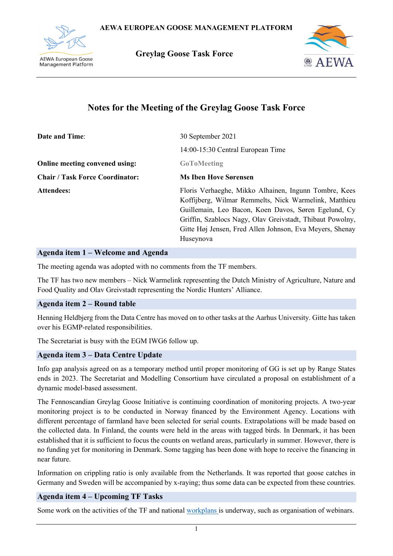

**Greylag Goose Task Force**



# **Notes for the Meeting of the Greylag Goose Task Force**

| <b>Date and Time:</b>                  | 30 September 2021                                                                                                                                                                                                                                                                                            |
|----------------------------------------|--------------------------------------------------------------------------------------------------------------------------------------------------------------------------------------------------------------------------------------------------------------------------------------------------------------|
|                                        | 14:00-15:30 Central European Time                                                                                                                                                                                                                                                                            |
| Online meeting convened using:         | <b>GoToMeeting</b>                                                                                                                                                                                                                                                                                           |
| <b>Chair / Task Force Coordinator:</b> | <b>Ms Iben Hove Sørensen</b>                                                                                                                                                                                                                                                                                 |
| <b>Attendees:</b>                      | Floris Verhaeghe, Mikko Alhainen, Ingunn Tombre, Kees<br>Koffijberg, Wilmar Remmelts, Nick Warmelink, Matthieu<br>Guillemain, Leo Bacon, Koen Davos, Søren Egelund, Cy<br>Griffin, Szablocs Nagy, Olav Greivstadt, Thibaut Powolny,<br>Gitte Høj Jensen, Fred Allen Johnson, Eva Meyers, Shenay<br>Huseynova |

#### **Agenda item 1 – Welcome and Agenda**

The meeting agenda was adopted with no comments from the TF members.

The TF has two new members – Nick Warmelink representing the Dutch Ministry of Agriculture, Nature and Food Quality and Olav Greivstadt representing the Nordic Hunters' Alliance.

#### **Agenda item 2 – Round table**

Henning Heldbjerg from the Data Centre has moved on to other tasks at the Aarhus University. Gitte has taken over his EGMP-related responsibilities.

The Secretariat is busy with the EGM IWG6 follow up.

#### **Agenda item 3 – Data Centre Update**

Info gap analysis agreed on as a temporary method until proper monitoring of GG is set up by Range States ends in 2023. The Secretariat and Modelling Consortium have circulated a proposal on establishment of a dynamic model-based assessment.

The Fennoscandian Greylag Goose Initiative is continuing coordination of monitoring projects. A two-year monitoring project is to be conducted in Norway financed by the Environment Agency. Locations with different percentage of farmland have been selected for serial counts. Extrapolations will be made based on the collected data. In Finland, the counts were held in the areas with tagged birds. In Denmark, it has been established that it is sufficient to focus the counts on wetland areas, particularly in summer. However, there is no funding yet for monitoring in Denmark. Some tagging has been done with hope to receive the financing in near future.

Information on crippling ratio is only available from the Netherlands. It was reported that goose catches in Germany and Sweden will be accompanied by x-raying; thus some data can be expected from these countries.

# **Agenda item 4 – Upcoming TF Tasks**

Some work on the activities of the TF and national [workplans](https://docs.google.com/spreadsheets/d/1M64HWxzVagM9W0mG8iMMeVYS3_-M44W6QsHvvUonST8/edit#gid=1472654637) is underway, such as organisation of webinars.